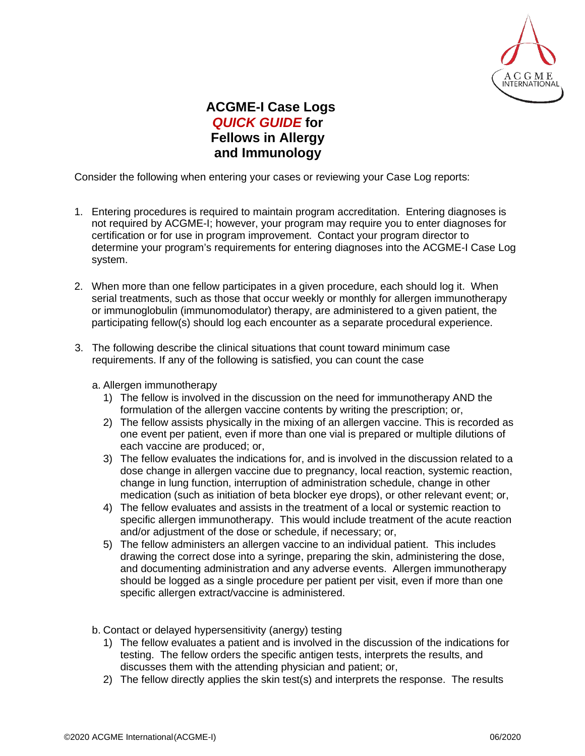

## **ACGME-I Case Logs** *QUICK GUIDE* **for Fellows in Allergy and Immunology**

Consider the following when entering your cases or reviewing your Case Log reports:

- 1. Entering procedures is required to maintain program accreditation. Entering diagnoses is not required by ACGME-I; however, your program may require you to enter diagnoses for certification or for use in program improvement. Contact your program director to determine your program's requirements for entering diagnoses into the ACGME-I Case Log system.
- 2. When more than one fellow participates in a given procedure, each should log it. When serial treatments, such as those that occur weekly or monthly for allergen immunotherapy or immunoglobulin (immunomodulator) therapy, are administered to a given patient, the participating fellow(s) should log each encounter as a separate procedural experience.
- 3. The following describe the clinical situations that count toward minimum case requirements. If any of the following is satisfied, you can count the case
	- a. Allergen immunotherapy
		- 1) The fellow is involved in the discussion on the need for immunotherapy AND the formulation of the allergen vaccine contents by writing the prescription; or,
		- 2) The fellow assists physically in the mixing of an allergen vaccine. This is recorded as one event per patient, even if more than one vial is prepared or multiple dilutions of each vaccine are produced; or,
		- 3) The fellow evaluates the indications for, and is involved in the discussion related to a dose change in allergen vaccine due to pregnancy, local reaction, systemic reaction, change in lung function, interruption of administration schedule, change in other medication (such as initiation of beta blocker eye drops), or other relevant event; or,
		- 4) The fellow evaluates and assists in the treatment of a local or systemic reaction to specific allergen immunotherapy. This would include treatment of the acute reaction and/or adjustment of the dose or schedule, if necessary; or,
		- 5) The fellow administers an allergen vaccine to an individual patient. This includes drawing the correct dose into a syringe, preparing the skin, administering the dose, and documenting administration and any adverse events. Allergen immunotherapy should be logged as a single procedure per patient per visit, even if more than one specific allergen extract/vaccine is administered.

b. Contact or delayed hypersensitivity (anergy) testing

- 1) The fellow evaluates a patient and is involved in the discussion of the indications for testing. The fellow orders the specific antigen tests, interprets the results, and discusses them with the attending physician and patient; or,
- 2) The fellow directly applies the skin test(s) and interprets the response. The results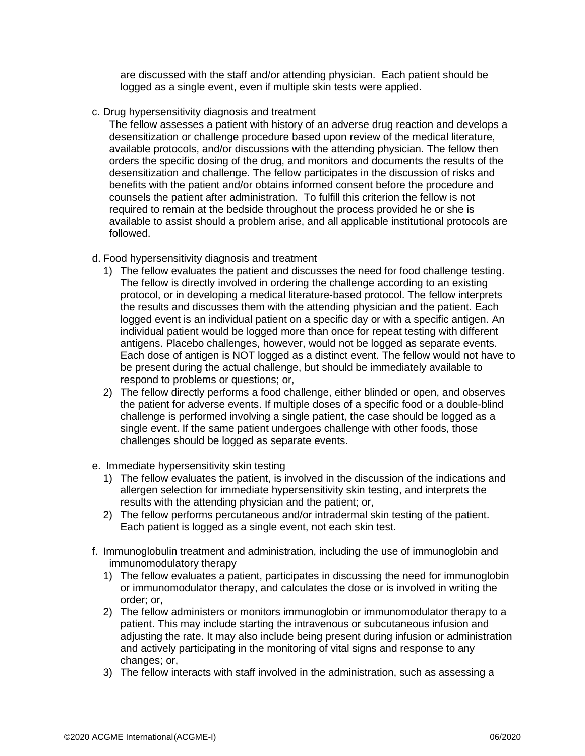are discussed with the staff and/or attending physician. Each patient should be logged as a single event, even if multiple skin tests were applied.

c. Drug hypersensitivity diagnosis and treatment

The fellow assesses a patient with history of an adverse drug reaction and develops a desensitization or challenge procedure based upon review of the medical literature, available protocols, and/or discussions with the attending physician. The fellow then orders the specific dosing of the drug, and monitors and documents the results of the desensitization and challenge. The fellow participates in the discussion of risks and benefits with the patient and/or obtains informed consent before the procedure and counsels the patient after administration. To fulfill this criterion the fellow is not required to remain at the bedside throughout the process provided he or she is available to assist should a problem arise, and all applicable institutional protocols are followed.

- d. Food hypersensitivity diagnosis and treatment
	- 1) The fellow evaluates the patient and discusses the need for food challenge testing. The fellow is directly involved in ordering the challenge according to an existing protocol, or in developing a medical literature-based protocol. The fellow interprets the results and discusses them with the attending physician and the patient. Each logged event is an individual patient on a specific day or with a specific antigen. An individual patient would be logged more than once for repeat testing with different antigens. Placebo challenges, however, would not be logged as separate events. Each dose of antigen is NOT logged as a distinct event. The fellow would not have to be present during the actual challenge, but should be immediately available to respond to problems or questions; or,
	- 2) The fellow directly performs a food challenge, either blinded or open, and observes the patient for adverse events. If multiple doses of a specific food or a double-blind challenge is performed involving a single patient, the case should be logged as a single event. If the same patient undergoes challenge with other foods, those challenges should be logged as separate events.
- e. Immediate hypersensitivity skin testing
	- 1) The fellow evaluates the patient, is involved in the discussion of the indications and allergen selection for immediate hypersensitivity skin testing, and interprets the results with the attending physician and the patient; or,
	- 2) The fellow performs percutaneous and/or intradermal skin testing of the patient. Each patient is logged as a single event, not each skin test.
- f. Immunoglobulin treatment and administration, including the use of immunoglobin and immunomodulatory therapy
	- 1) The fellow evaluates a patient, participates in discussing the need for immunoglobin or immunomodulator therapy, and calculates the dose or is involved in writing the order; or,
	- 2) The fellow administers or monitors immunoglobin or immunomodulator therapy to a patient. This may include starting the intravenous or subcutaneous infusion and adjusting the rate. It may also include being present during infusion or administration and actively participating in the monitoring of vital signs and response to any changes; or,
	- 3) The fellow interacts with staff involved in the administration, such as assessing a